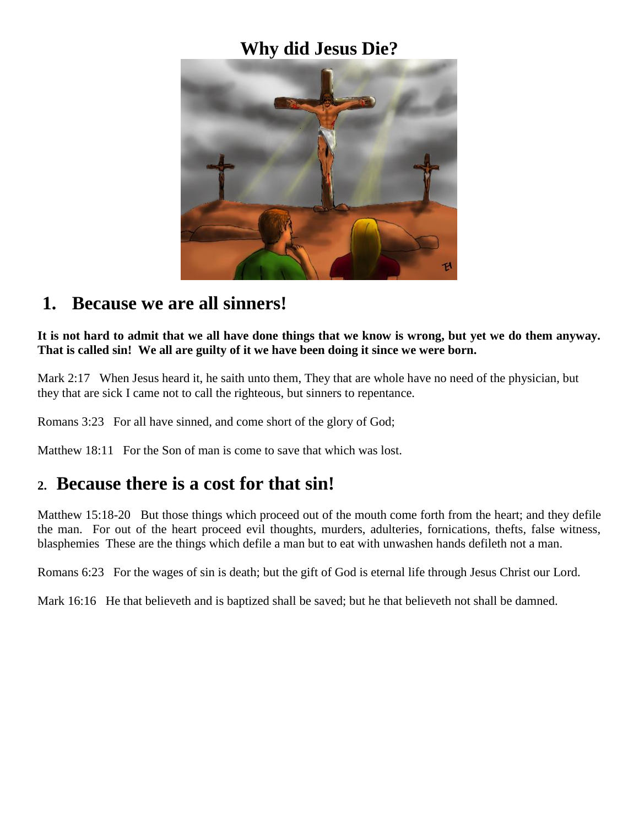### **Why did Jesus Die?**



#### **1. Because we are all sinners!**

**It is not hard to admit that we all have done things that we know is wrong, but yet we do them anyway. That is called sin! We all are guilty of it we have been doing it since we were born.**

Mark 2:17 When Jesus heard it, he saith unto them, They that are whole have no need of the physician, but they that are sick I came not to call the righteous, but sinners to repentance.

Romans 3:23 For all have sinned, and come short of the glory of God;

Matthew 18:11 For the Son of man is come to save that which was lost.

#### **2. Because there is a cost for that sin!**

Matthew 15:18-20 But those things which proceed out of the mouth come forth from the heart; and they defile the man. For out of the heart proceed evil thoughts, murders, adulteries, fornications, thefts, false witness, blasphemies These are the things which defile a man but to eat with unwashen hands defileth not a man.

Romans 6:23 For the wages of sin is death; but the gift of God is eternal life through Jesus Christ our Lord.

Mark 16:16 He that believeth and is baptized shall be saved; but he that believeth not shall be damned.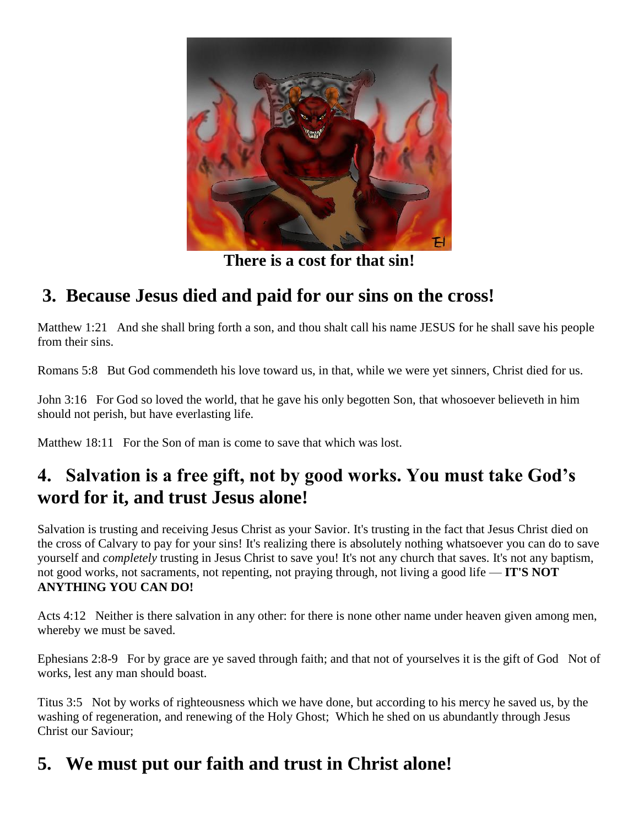

**There is a cost for that sin!**

# **3. Because Jesus died and paid for our sins on the cross!**

Matthew 1:21 And she shall bring forth a son, and thou shalt call his name JESUS for he shall save his people from their sins.

Romans 5:8 But God commendeth his love toward us, in that, while we were yet sinners, Christ died for us.

John 3:16 For God so loved the world, that he gave his only begotten Son, that whosoever believeth in him should not perish, but have everlasting life.

Matthew 18:11 For the Son of man is come to save that which was lost.

# **4. Salvation is a free gift, not by good works. You must take God's word for it, and trust Jesus alone!**

Salvation is trusting and receiving Jesus Christ as your Savior. It's trusting in the fact that Jesus Christ died on the cross of Calvary to pay for your sins! It's realizing there is absolutely nothing whatsoever you can do to save yourself and *completely* trusting in Jesus Christ to save you! It's not any church that saves. It's not any baptism, not good works, not sacraments, not repenting, not praying through, not living a good life — **IT'S NOT ANYTHING YOU CAN DO!**

Acts 4:12 Neither is there salvation in any other: for there is none other name under heaven given among men, whereby we must be saved.

Ephesians 2:8-9 For by grace are ye saved through faith; and that not of yourselves it is the gift of God Not of works, lest any man should boast.

Titus 3:5 Not by works of righteousness which we have done, but according to his mercy he saved us, by the washing of regeneration, and renewing of the Holy Ghost; Which he shed on us abundantly through Jesus Christ our Saviour;

# **5. We must put our faith and trust in Christ alone!**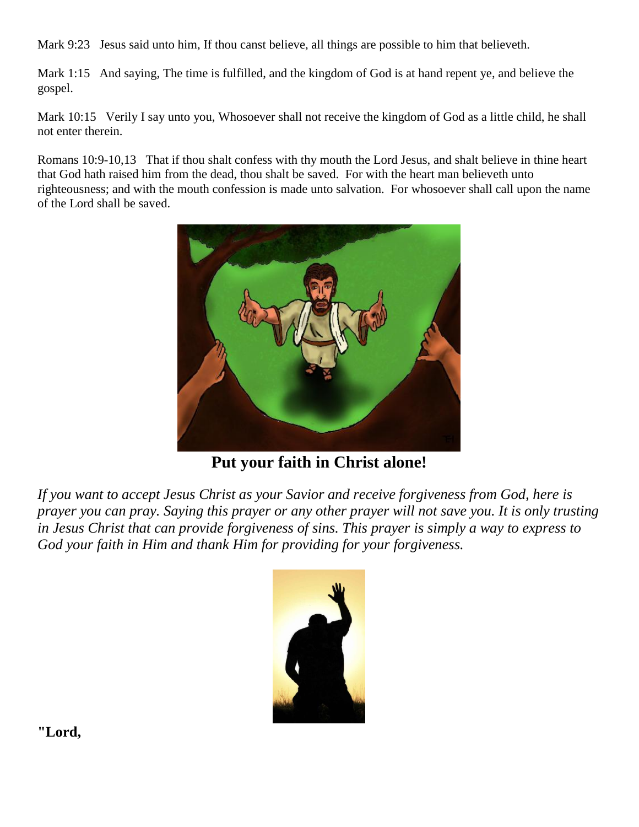Mark 9:23 Jesus said unto him, If thou canst believe, all things are possible to him that believeth.

Mark 1:15 And saying, The time is fulfilled, and the kingdom of God is at hand repent ye, and believe the gospel.

Mark 10:15 Verily I say unto you, Whosoever shall not receive the kingdom of God as a little child, he shall not enter therein.

Romans 10:9-10,13 That if thou shalt confess with thy mouth the Lord Jesus, and shalt believe in thine heart that God hath raised him from the dead, thou shalt be saved. For with the heart man believeth unto righteousness; and with the mouth confession is made unto salvation. For whosoever shall call upon the name of the Lord shall be saved.



**Put your faith in Christ alone!**

*If you want to accept Jesus Christ as your Savior and receive forgiveness from God, here is prayer you can pray. Saying this prayer or any other prayer will not save you. It is only trusting in Jesus Christ that can provide forgiveness of sins. This prayer is simply a way to express to God your faith in Him and thank Him for providing for your forgiveness.* 



**"Lord,**